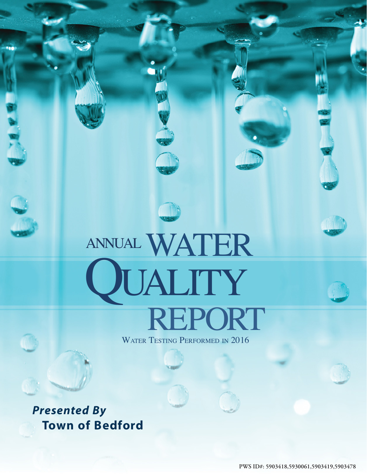# WATER REPORT QUALITY annual

WATER TESTING PERFORMED IN 2016

*Presented By*  **Town of Bedford**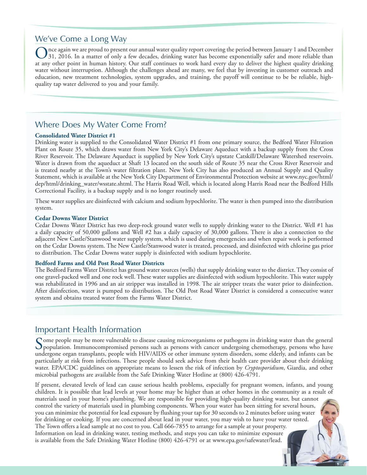# We've Come a Long Way

 $\bigodot$  nce again we are proud to present our annual water quality report covering the period between January 1 and December 31, 2016. In a matter of only a few decades, drinking water has become exponentially safer and mo at any other point in human history. Our staff continues to work hard every day to deliver the highest quality drinking water without interruption. Although the challenges ahead are many, we feel that by investing in customer outreach and education, new treatment technologies, system upgrades, and training, the payoff will continue to be be reliable, highquality tap water delivered to you and your family.

# Where Does My Water Come From?

#### **Consolidated Water District #1**

Drinking water is supplied to the Consolidated Water District #1 from one primary source, the Bedford Water Filtration Plant on Route 35, which draws water from New York City's Delaware Aqueduct with a backup supply from the Cross River Reservoir. The Delaware Aqueduct is supplied by New York City's upstate Catskill/Delaware Watershed reservoirs. Water is drawn from the aqueduct at Shaft 13 located on the south side of Route 35 near the Cross River Reservoir and is treated nearby at the Town's water filtration plant. New York City has also produced an Annual Supply and Quality Statement, which is available at the New York City Department of Environmental Protection website at [www.nyc.gov/html/](http://www.nyc.gov/html/dep/html/drinking_water/wsstate.shtml) [dep/html/drinking\\_water/wsstate.shtml](http://www.nyc.gov/html/dep/html/drinking_water/wsstate.shtml). The Harris Road Well, which is located along Harris Road near the Bedford Hills Correctional Facility, is a backup supply and is no longer routinely used.

These water supplies are disinfected with calcium and sodium hypochlorite. The water is then pumped into the distribution system.

#### **Cedar Downs Water District**

Cedar Downs Water District has two deep-rock ground water wells to supply drinking water to the District. Well #1 has a daily capacity of 50,000 gallons and Well #2 has a daily capacity of 30,000 gallons. There is also a connection to the adjacent New Castle/Stanwood water supply system, which is used during emergencies and when repair work is performed on the Cedar Downs system. The New Castle/Stanwood water is treated, processed, and disinfected with chlorine gas prior to distribution. The Cedar Downs water supply is disinfected with sodium hypochlorite.

#### **Bedford Farms and Old Post Road Water Districts**

The Bedford Farms Water District has ground water sources (wells) that supply drinking water to the district. They consist of one gravel-packed well and one rock well. These water supplies are disinfected with sodium hypochlorite. This water supply was rehabilitated in 1996 and an air stripper was installed in 1998. The air stripper treats the water prior to disinfection. After disinfection, water is pumped to distribution. The Old Post Road Water District is considered a consecutive water system and obtains treated water from the Farms Water District.

# Important Health Information

Some people may be more vulnerable to disease causing microorganisms or pathogens in drinking water than the general<br>Spopulation. Immunocompromised persons such as persons with cancer undergoing chemotherapy, persons who h undergone organ transplants, people with HIV/AIDS or other immune system disorders, some elderly, and infants can be particularly at risk from infections. These people should seek advice from their health care provider about their drinking water. EPA/CDC guidelines on appropriate means to lessen the risk of infection by *Cryptosporidium*, Giardia, and other microbial pathogens are available from the Safe Drinking Water Hotline at (800) 426-4791.

If present, elevated levels of lead can cause serious health problems, especially for pregnant women, infants, and young children. It is possible that lead levels at your home may be higher than at other homes in the community as a result of materials used in your home's plumbing. We are responsible for providing high-quality drinking water, but cannot control the variety of materials used in plumbing components. When your water has been sitting for several hours, you can minimize the potential for lead exposure by flushing your tap for 30 seconds to 2 minutes before using water for drinking or cooking. If you are concerned about lead in your water, you may wish to have your water tested. The Town offers a lead sample at no cost to you. Call 666-7855 to arrange for a sample at your property. Information on lead in drinking water, testing methods, and steps you can take to minimize exposure is available from the Safe Drinking Water Hotline (800) 426-4791 or at [www.epa.gov/safewater/lead](http://www.epa.gov/safewater/lead).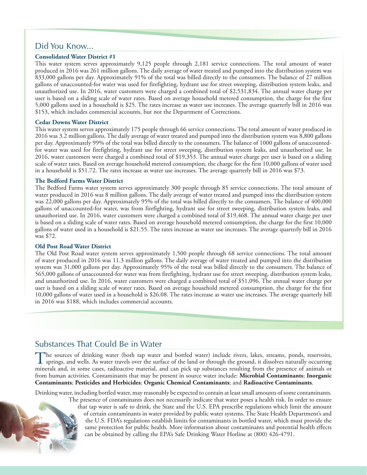# Did You Know...

#### **Consolidated Water District #1**

This water system serves approximately 9,125 people through 2,181 service connections. The total amount of water produced in 2016 was 261 million gallons. The daily average of water treated and pumped into the distribution system was 833,000 gallons per day. Approximately 91% of the total was billed directly to the consumers. The balance of 27 million gallons of unaccounted-for water was used for firefighting, hydrant use for street sweeping, distribution system leaks, and unauthorized use. In 2016, water customers were charged a combined total of \$2,531,834. The annual water charge per user is based on a sliding scale of water rates. Based on average household metered consumption, the charge for the first 5,000 gallons used in a household is \$25. The rates increase as water use increases. The average quarterly bill in 2016 was \$153, which includes commercial accounts, but not the Department of Corrections.

#### **Cedar Downs Water District**

This water system serves approximately 175 people through 66 service connections. The total amount of water produced in 2016 was 3.2 million gallons. The daily average of water treated and pumped into the distribution system was 8,800 gallons per day. Approximately 99% of the total was billed directly to the consumers. The balance of 1000 gallons of unaccountedfor water was used for firefighting, hydrant use for street sweeping, distribution system leaks, and unauthorized use. In 2016, water customers were charged a combined total of \$19,353. The annual water charge per user is based on a sliding scale of water rates. Based on average household metered consumption, the charge for the first 10,000 gallons of water used in a household is \$51.72. The rates increase as water use increases. The average quarterly bill in 2016 was \$73.

#### **The Bedford Farms Water District**

The Bedford Farms water system serves approximately 300 people through 85 service connections. The total amount of water produced in 2016 was 8 million gallons. The daily average of water treated and pumped into the distribution system was 22,000 gallons per day. Approximately 95% of the total was billed directly to the consumers. The balance of 400,000 gallons of unaccounted-for water, was from firefighting, hydrant use for street sweeping, distribution system leaks, and unauthorized use. In 2016, water customers were charged a combined total of \$19,468. The annual water charge per user is based on a sliding scale of water rates. Based on average household metered consumption, the charge for the first 10,000 gallons of water used in a household is \$21.55. The rates increase as water use increases. The average quarterly bill in 2016 was \$72.

#### **Old Post Road Water District**

The Old Post Road water system serves approximately 1,500 people through 68 service connections. The total amount of water produced in 2016 was 11.3 million gallons. The daily average of water treated and pumped into the distribution system was 31,000 gallons per day. Approximately 95% of the total was billed directly to the consumers. The balance of 565,000 gallons of unaccounted-for water was from firefighting, hydrant use for street sweeping, distribution system leaks, and unauthorized use. In 2016, water customers were charged a combined total of \$51,096. The annual water charge per user is based on a sliding scale of water rates. Based on average household metered consumption, the charge for the first 10,000 gallons of water used in a household is \$26.08. The rates increase as water use increases. The average quarterly bill in 2016 was \$188, which includes commercial accounts.

# Substances That Could Be in Water

The sources of drinking water (both tap water and bottled water) include rivers, lakes, streams, ponds, reservoirs,<br>springs, and wells. As water travels over the surface of the land or through the ground, it dissolves natu minerals and, in some cases, radioactive material, and can pick up substances resulting from the presence of animals or from human activities. Contaminants that may be present in source water include: **Microbial Contaminants**; **Inorganic Contaminants**; **Pesticides and Herbicides**; **Organic Chemical Contaminants**; and **Radioactive Contaminants**.

Drinking water, including bottled water, may reasonably be expected to contain at least small amounts of some contaminants.

The presence of contaminants does not necessarily indicate that water poses a health risk. In order to ensure that tap water is safe to drink, the State and the U.S. EPA prescribe regulations which limit the amount of certain contaminants in water provided by public water systems. The State Health Department's and the U.S. FDA's regulations establish limits for contaminants in bottled water, which must provide the same protection for public health. More information about contaminants and potential health effects can be obtained by calling the EPA's Safe Drinking Water Hotline at (800) 426-4791.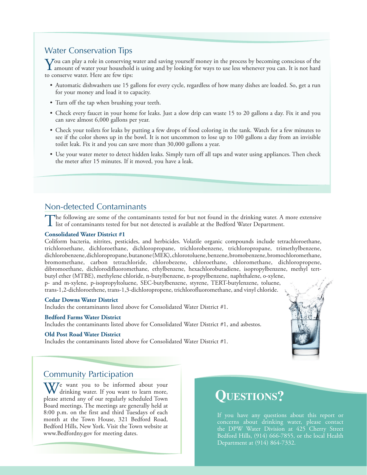# Water Conservation Tips

You can play a role in conserving water and saving yourself money in the process by becoming conscious of the<br>amount of water your household is using and by looking for ways to use less whenever you can. It is not hard to conserve water. Here are few tips:

- Automatic dishwashers use 15 gallons for every cycle, regardless of how many dishes are loaded. So, get a run for your money and load it to capacity.
- Turn off the tap when brushing your teeth.
- Check every faucet in your home for leaks. Just a slow drip can waste 15 to 20 gallons a day. Fix it and you can save almost 6,000 gallons per year.
- Check your toilets for leaks by putting a few drops of food coloring in the tank. Watch for a few minutes to see if the color shows up in the bowl. It is not uncommon to lose up to 100 gallons a day from an invisible toilet leak. Fix it and you can save more than 30,000 gallons a year.
- Use your water meter to detect hidden leaks. Simply turn off all taps and water using appliances. Then check the meter after 15 minutes. If it moved, you have a leak.

# Non-detected Contaminants

The following are some of the contaminants tested for but not found in the drinking water. A more extensive list of contaminants tested for but not detected is available at the Bedford Water Department.

#### **Consolidated Water District #1**

Coliform bacteria, nitrites, pesticides, and herbicides. Volatile organic compounds include tetrachloroethane, trichloroethane, dichloroethane, dichloropropane, trichlorobenzene, trichloropropane, trimethylbenzene, dichlorobenzene, dichloropropane, butanone (MEK), chlorotoluene, benzene, bromobenzene, bromochloromethane, bromomethane, carbon tetrachloride, chlorobezene, chloroethane, chloromethane, dichloropropene, dibromoethane, dichlorodifluoromethane, ethylbenzene, hexachlorobutadiene, isopropylbenzene, methyl tertbutyl ether (MTBE), methylene chloride, n-butylbenzene, n-propylbenzene, naphthalene, o-xylene, p- and m-xylene, p-isopropyltoluene, SEC-butylbenzene, styrene, TERT-butylenzene, toluene, trans-1,2-dichloroethene, trans-1,3-dichloropropene, trichlorofluoromethane, and vinyl chloride.

#### **Cedar Downs Water District**

Includes the contaminants listed above for Consolidated Water District #1.

#### **Bedford Farms Water District**

Includes the contaminants listed above for Consolidated Water District #1, and asbestos.

#### **Old Post Road Water District**

Includes the contaminants listed above for Consolidated Water District #1.



 $\left(\bigvee_{i=1}^{n} c_i\right)$  want you to be informed about your drinking water. If you want to learn more, please attend any of our regularly scheduled Town Board meetings. The meetings are generally held at 8:00 p.m. on the first and third Tuesdays of each month at the Town House, 321 Bedford Road, Bedford Hills, New York. Visit the Town website at [www.Bedfordny.gov](http://www.Bedfordny.gov) for meeting dates.

# **Questions?**

If you have any questions about this report or concerns about drinking water, please contact the DPW Water Division at 425 Cherry Street Bedford Hills, (914) 666-7855, or the local Health Department at (914) 864-7332.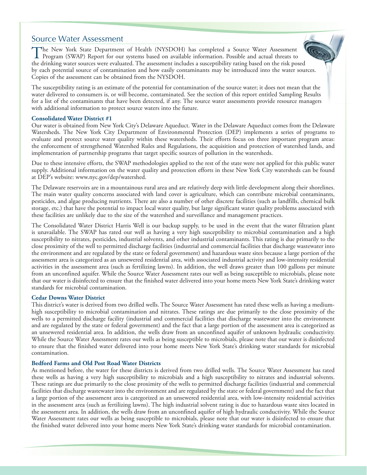### Source Water Assessment

The New York State Department of Health (NYSDOH) has completed a Source Water Assessment<br>Program (SWAP) Report for our systems based on available information. Possible and actual threats to<br>the distribution water sources w the drinking water sources were evaluated. The assessment includes a susceptibility rating based on the risk posed by each potential source of contamination and how easily contaminants may be introduced into the water sources. Copies of the assessment can be obtained from the NYSDOH.

The susceptibility rating is an estimate of the potential for contamination of the source water; it does not mean that the water delivered to consumers is, or will become, contaminated. See the section of this report entitled Sampling Results for a list of the contaminants that have been detected, if any. The source water assessments provide resource managers with additional information to protect source waters into the future.

#### **Consolidated Water District #1**

Our water is obtained from New York City's Delaware Aqueduct. Water in the Delaware Aqueduct comes from the Delaware Watersheds. The New York City Department of Environmental Protection (DEP) implements a series of programs to evaluate and protect source water quality within these watersheds. Their efforts focus on three important program areas: the enforcement of strengthened Watershed Rules and Regulations, the acquisition and protection of watershed lands, and implementation of partnership programs that target specific sources of pollution in the watersheds.

Due to these intensive efforts, the SWAP methodologies applied to the rest of the state were not applied for this public water supply. Additional information on the water quality and protection efforts in these New York City watersheds can be found at DEP's website: [www.nyc.gov/dep/watershed.](http://www.nyc.gov/dep/watershed)

The Delaware reservoirs are in a mountainous rural area and are relatively deep with little development along their shorelines. The main water quality concerns associated with land cover is agriculture, which can contribute microbial contaminants, pesticides, and algae producing nutrients. There are also a number of other discrete facilities (such as landfills, chemical bulk storage, etc.) that have the potential to impact local water quality, but large significant water quality problems associated with these facilities are unlikely due to the size of the watershed and surveillance and management practices.

The Consolidated Water District Harris Well is our backup supply, to be used in the event that the water filtration plant is unavailable. The SWAP has rated our well as having a very high susceptibility to microbial contamination and a high susceptibility to nitrates, pesticides, industrial solvents, and other industrial contaminants. This rating is due primarily to the close proximity of the well to permitted discharge facilities (industrial and commercial facilities that discharge wastewater into the environment and are regulated by the state or federal government) and hazardous waste sites because a large portion of the assessment area is categorized as an unsewered residential area, with associated industrial activity and low-intensity residential activities in the assessment area (such as fertilizing lawns). In addition, the well draws greater than 100 gallons per minute from an unconfined aquifer. While the Source Water Assessment rates our well as being susceptible to microbials, please note that our water is disinfected to ensure that the finished water delivered into your home meets New York State's drinking water standards for microbial contamination.

#### **Cedar Downs Water District**

This district's water is derived from two drilled wells. The Source Water Assessment has rated these wells as having a mediumhigh susceptibility to microbial contamination and nitrates. These ratings are due primarily to the close proximity of the wells to a permitted discharge facility (industrial and commercial facilities that discharge wastewater into the environment and are regulated by the state or federal government) and the fact that a large portion of the assessment area is categorized as an unsewered residential area. In addition, the wells draw from an unconfined aquifer of unknown hydraulic conductivity. While the Source Water Assessment rates our wells as being susceptible to microbials, please note that our water is disinfected to ensure that the finished water delivered into your home meets New York State's drinking water standards for microbial contamination.

#### **Bedford Farms and Old Post Road Water Districts**

As mentioned before, the water for these districts is derived from two drilled wells. The Source Water Assessment has rated these wells as having a very high susceptibility to microbials and a high susceptibility to nitrates and industrial solvents. These ratings are due primarily to the close proximity of the wells to permitted discharge facilities (industrial and commercial facilities that discharge wastewater into the environment and are regulated by the state or federal government) and the fact that a large portion of the assessment area is categorized as an unsewered residential area, with low-intensity residential activities in the assessment area (such as fertilizing lawns). The high industrial solvent rating is due to hazardous waste sites located in the assessment area. In addition, the wells draw from an unconfined aquifer of high hydraulic conductivity. While the Source Water Assessment rates our wells as being susceptible to microbials, please note that our water is disinfected to ensure that the finished water delivered into your home meets New York State's drinking water standards for microbial contamination.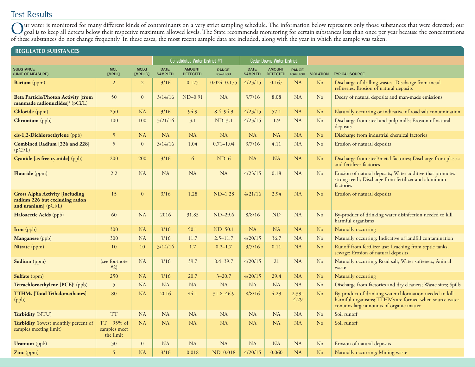# Test Results

Our water is monitored for many different kinds of contaminants on a very strict sampling schedule. The information below represents only those substances that were detected; our<br>goal is to keep all detects below their res of these substances do not change frequently. In these cases, the most recent sample data are included, along with the year in which the sample was taken.

#### **REGULATED SUBSTANCES**

|                                                                                                  | <b>Consolidated Water District #1</b>       |                        |                               |                                  | <b>Cedar Downs Water District</b> |                               |                                  |                          |                |                                                                                                                                                               |
|--------------------------------------------------------------------------------------------------|---------------------------------------------|------------------------|-------------------------------|----------------------------------|-----------------------------------|-------------------------------|----------------------------------|--------------------------|----------------|---------------------------------------------------------------------------------------------------------------------------------------------------------------|
| <b>SUBSTANCE</b><br>(UNIT OF MEASURE)                                                            | <b>MCL</b><br>[MRDL]                        | <b>MCLG</b><br>[MRDLG] | <b>DATE</b><br><b>SAMPLED</b> | <b>AMOUNT</b><br><b>DETECTED</b> | <b>RANGE</b><br>LOW-HIGH          | <b>DATE</b><br><b>SAMPLED</b> | <b>AMOUNT</b><br><b>DETECTED</b> | <b>RANGE</b><br>LOW-HIGH |                | <b>VIOLATION TYPICAL SOURCE</b>                                                                                                                               |
| <b>Barium</b> (ppm)                                                                              | $\overline{2}$                              | $\overline{2}$         | 3/16                          | 0.175                            | $0.024 - 0.175$                   | 4/23/15                       | 0.167                            | <b>NA</b>                | $\rm No$       | Discharge of drilling wastes; Discharge from metal<br>refineries; Erosion of natural deposits                                                                 |
| <b>Beta Particle/Photon Activity [from</b><br>manmade radionuclides] <sup>1</sup> (pCi/L)        | 50                                          | $\mathbf{0}$           | 3/14/16                       | $ND-0.91$                        | <b>NA</b>                         | 3/7/16                        | 8.08                             | <b>NA</b>                | N <sub>o</sub> | Decay of natural deposits and man-made emissions                                                                                                              |
| Chloride (ppm)                                                                                   | 250                                         | <b>NA</b>              | 3/16                          | 94.9                             | $8.4 - 94.9$                      | 4/23/15                       | 57.1                             | <b>NA</b>                | No             | Naturally occurring or indicative of road salt contamination                                                                                                  |
| Chromium (ppb)                                                                                   | 100                                         | 100                    | 3/21/16                       | 3.1                              | $ND-3.1$                          | 4/23/15                       | 1.9                              | <b>NA</b>                | N <sub>o</sub> | Discharge from steel and pulp mills; Erosion of natural<br>deposits                                                                                           |
| cis-1,2-Dichloroethylene (ppb)                                                                   | 5                                           | <b>NA</b>              | <b>NA</b>                     | <b>NA</b>                        | <b>NA</b>                         | <b>NA</b>                     | <b>NA</b>                        | <b>NA</b>                | No             | Discharge from industrial chemical factories                                                                                                                  |
| Combined Radium [226 and 228]<br>(pCi/L)                                                         | 5                                           | $\mathbf{0}$           | 3/14/16                       | 1.04                             | $0.71 - 1.04$                     | 3/7/16                        | 4.11                             | <b>NA</b>                | N <sub>o</sub> | Erosion of natural deposits                                                                                                                                   |
| Cyanide [as free cyanide] (ppb)                                                                  | 200                                         | 200                    | 3/16                          | 6                                | $ND-6$                            | <b>NA</b>                     | <b>NA</b>                        | <b>NA</b>                | N <sub>o</sub> | Discharge from steel/metal factories; Discharge from plastic<br>and fertilizer factories                                                                      |
| Fluoride (ppm)                                                                                   | 2.2                                         | <b>NA</b>              | <b>NA</b>                     | <b>NA</b>                        | <b>NA</b>                         | 4/23/15                       | 0.18                             | <b>NA</b>                | N <sub>o</sub> | Erosion of natural deposits; Water additive that promotes<br>strong teeth; Discharge from fertilizer and aluminum<br>factories                                |
| <b>Gross Alpha Activity [including</b><br>radium 226 but excluding radon<br>and uranium] (pCi/L) | 15                                          | $\mathbf{0}$           | 3/16                          | 1.28                             | $ND-1.28$                         | 4/21/16                       | 2.94                             | <b>NA</b>                | N <sub>o</sub> | Erosion of natural deposits                                                                                                                                   |
| <b>Haloacetic Acids</b> (ppb)                                                                    | 60                                          | <b>NA</b>              | 2016                          | 31.85                            | $ND-29.6$                         | 8/8/16                        | <b>ND</b>                        | <b>NA</b>                | $\rm No$       | By-product of drinking water disinfection needed to kill<br>harmful organisms                                                                                 |
| Iron (ppb)                                                                                       | 300                                         | <b>NA</b>              | 3/16                          | 50.1                             | $ND-50.1$                         | <b>NA</b>                     | <b>NA</b>                        | <b>NA</b>                | N <sub>o</sub> | Naturally occurring                                                                                                                                           |
| Manganese (ppb)                                                                                  | 300                                         | <b>NA</b>              | 3/16                          | 11.7                             | $2.5 - 11.7$                      | 4/20/15                       | 36.7                             | <b>NA</b>                | N <sub>o</sub> | Naturally occurring; Indicative of landfill contamination                                                                                                     |
| Nitrate (ppm)                                                                                    | 10                                          | 10                     | 3/14/16                       | 1.7                              | $0.2 - 1.7$                       | 3/7/16                        | 0.11                             | <b>NA</b>                | N <sub>o</sub> | Runoff from fertilizer use; Leaching from septic tanks,<br>sewage; Erosion of natural deposits                                                                |
| Sodium (ppm)                                                                                     | (see footnote)<br>#2)                       | <b>NA</b>              | 3/16                          | 39.7                             | $8.4 - 39.7$                      | 4/20/15                       | 21                               | <b>NA</b>                | No             | Naturally occurring; Road salt; Water softeners; Animal<br>waste                                                                                              |
| Sulfate (ppm)                                                                                    | 250                                         | <b>NA</b>              | 3/16                          | 20.7                             | $3 - 20.7$                        | 4/20/15                       | 29.4                             | <b>NA</b>                | N <sub>o</sub> | Naturally occurring                                                                                                                                           |
| Tetrachloroethylene [PCE] <sup>3</sup> (ppb)                                                     | 5                                           | <b>NA</b>              | NA                            | <b>NA</b>                        | NA                                | <b>NA</b>                     | <b>NA</b>                        | NA                       | N <sub>o</sub> | Discharge from factories and dry cleaners; Waste sites; Spills                                                                                                |
| <b>TTHMs</b> [Total Trihalomethanes]<br>(ppb)                                                    | 80                                          | <b>NA</b>              | 2016                          | 44.1                             | 31.8-46.9                         | 8/8/16                        | 4.29                             | $2.39-$<br>4.29          | N <sub>o</sub> | By-product of drinking water chlorination needed to kill<br>harmful organisms; TTHMs are formed when source water<br>contains large amounts of organic matter |
| Turbidity (NTU)                                                                                  | <b>TT</b>                                   | <b>NA</b>              | <b>NA</b>                     | <b>NA</b>                        | <b>NA</b>                         | <b>NA</b>                     | <b>NA</b>                        | <b>NA</b>                | No             | Soil runoff                                                                                                                                                   |
| Turbidity (lowest monthly percent of<br>samples meeting limit)                                   | $TT = 95\%$ of<br>samples meet<br>the limit | <b>NA</b>              | <b>NA</b>                     | <b>NA</b>                        | <b>NA</b>                         | <b>NA</b>                     | <b>NA</b>                        | <b>NA</b>                | N <sub>o</sub> | Soil runoff                                                                                                                                                   |
| <b>Uranium</b> (ppb)                                                                             | 30                                          | $\overline{0}$         | <b>NA</b>                     | <b>NA</b>                        | <b>NA</b>                         | <b>NA</b>                     | <b>NA</b>                        | <b>NA</b>                | No             | Erosion of natural deposits                                                                                                                                   |
| Zinc (ppm)                                                                                       | $\overline{5}$                              | <b>NA</b>              | 3/16                          | 0.018                            | $ND-0.018$                        | 4/20/15                       | 0.060                            | <b>NA</b>                | No             | Naturally occurring; Mining waste                                                                                                                             |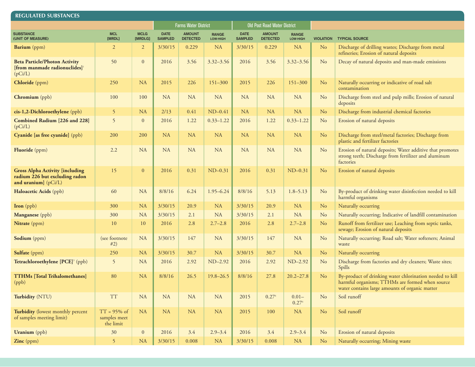| <b>REGULATED SUBSTANCES</b>                                                                           |                                             |                             |                               |                                  |                          |                                     |                                  |                          |                  |                                                                                                                                                               |  |
|-------------------------------------------------------------------------------------------------------|---------------------------------------------|-----------------------------|-------------------------------|----------------------------------|--------------------------|-------------------------------------|----------------------------------|--------------------------|------------------|---------------------------------------------------------------------------------------------------------------------------------------------------------------|--|
|                                                                                                       |                                             | <b>Farms Water District</b> |                               |                                  |                          | <b>Old Post Road Water District</b> |                                  |                          |                  |                                                                                                                                                               |  |
| <b>SUBSTANCE</b><br>(UNIT OF MEASURE)                                                                 | <b>MCL</b><br>[MRDL]                        | <b>MCLG</b><br>[MRDLG]      | <b>DATE</b><br><b>SAMPLED</b> | <b>AMOUNT</b><br><b>DETECTED</b> | <b>RANGE</b><br>LOW-HIGH | <b>DATE</b><br><b>SAMPLED</b>       | <b>AMOUNT</b><br><b>DETECTED</b> | <b>RANGE</b><br>LOW-HIGH | <b>VIOLATION</b> | <b>TYPICAL SOURCE</b>                                                                                                                                         |  |
| <b>Barium</b> (ppm)                                                                                   | 2                                           | $\overline{2}$              | 3/30/15                       | 0.229                            | <b>NA</b>                | 3/30/15                             | 0.229                            | <b>NA</b>                | N <sub>o</sub>   | Discharge of drilling wastes; Discharge from metal<br>refineries; Erosion of natural deposits                                                                 |  |
| <b>Beta Particle/Photon Activity</b><br>[from manmade radionuclides] <sup>1</sup><br>(pCi/L)          | 50                                          | $\mathbf{0}$                | 2016                          | 3.56                             | $3.32 - 3.56$            | 2016                                | 3.56                             | $3.32 - 3.56$            | N <sub>o</sub>   | Decay of natural deposits and man-made emissions                                                                                                              |  |
| Chloride (ppm)                                                                                        | 250                                         | <b>NA</b>                   | 2015                          | 226                              | $151 - 300$              | 2015                                | 226                              | 151-300                  | No               | Naturally occurring or indicative of road salt<br>contamination                                                                                               |  |
| Chromium (ppb)                                                                                        | 100                                         | 100                         | <b>NA</b>                     | <b>NA</b>                        | <b>NA</b>                | <b>NA</b>                           | <b>NA</b>                        | <b>NA</b>                | No               | Discharge from steel and pulp mills; Erosion of natural<br>deposits                                                                                           |  |
| cis-1,2-Dichloroethylene (ppb)                                                                        | 5                                           | <b>NA</b>                   | 2/13                          | 0.41                             | $ND-0.41$                | <b>NA</b>                           | <b>NA</b>                        | <b>NA</b>                | No               | Discharge from industrial chemical factories                                                                                                                  |  |
| Combined Radium [226 and 228]<br>(pCi/L)                                                              | 5                                           | $\mathbf{0}$                | 2016                          | 1.22                             | $0.33 - 1.22$            | 2016                                | 1.22                             | $0.33 - 1.22$            | No               | Erosion of natural deposits                                                                                                                                   |  |
| Cyanide [as free cyanide] (ppb)                                                                       | 200                                         | 200                         | <b>NA</b>                     | <b>NA</b>                        | <b>NA</b>                | <b>NA</b>                           | <b>NA</b>                        | <b>NA</b>                | No               | Discharge from steel/metal factories; Discharge from<br>plastic and fertilizer factories                                                                      |  |
| <b>Fluoride</b> (ppm)                                                                                 | 2.2                                         | <b>NA</b>                   | <b>NA</b>                     | <b>NA</b>                        | <b>NA</b>                | <b>NA</b>                           | <b>NA</b>                        | <b>NA</b>                | N <sub>o</sub>   | Erosion of natural deposits; Water additive that promotes<br>strong teeth; Discharge from fertilizer and aluminum<br>factories                                |  |
| <b>Gross Alpha Activity [including</b><br>radium 226 but excluding radon<br>and $uranium$ ( $pCi/L$ ) | 15                                          | $\mathbf{0}$                | 2016                          | 0.31                             | $ND-0.31$                | 2016                                | 0.31                             | $ND-0.31$                | No               | Erosion of natural deposits                                                                                                                                   |  |
| Haloacetic Acids (ppb)                                                                                | 60                                          | <b>NA</b>                   | 8/8/16                        | 6.24                             | 1.95-6.24                | 8/8/16                              | 5.13                             | $1.8 - 5.13$             | No               | By-product of drinking water disinfection needed to kill<br>harmful organisms                                                                                 |  |
| Iron (ppb)                                                                                            | 300                                         | <b>NA</b>                   | 3/30/15                       | 20.9                             | <b>NA</b>                | 3/30/15                             | 20.9                             | <b>NA</b>                | No               | Naturally occurring                                                                                                                                           |  |
| Manganese (ppb)                                                                                       | 300                                         | <b>NA</b>                   | 3/30/15                       | 2.1                              | <b>NA</b>                | 3/30/15                             | 2.1                              | <b>NA</b>                | N <sub>o</sub>   | Naturally occurring; Indicative of landfill contamination                                                                                                     |  |
| Nitrate (ppm)                                                                                         | 10                                          | 10                          | 2016                          | 2.8                              | $2.7 - 2.8$              | 2016                                | 2.8                              | $2.7 - 2.8$              | No               | Runoff from fertilizer use; Leaching from septic tanks,<br>sewage; Erosion of natural deposits                                                                |  |
| Sodium (ppm)                                                                                          | (see footnote)<br>#2)                       | <b>NA</b>                   | 3/30/15                       | 147                              | <b>NA</b>                | 3/30/15                             | 147                              | <b>NA</b>                | No               | Naturally occurring; Road salt; Water softeners; Animal<br>waste                                                                                              |  |
| Sulfate (ppm)                                                                                         | 250                                         | <b>NA</b>                   | 3/30/15                       | 30.7                             | <b>NA</b>                | 3/30/15                             | 30.7                             | <b>NA</b>                | N <sub>o</sub>   | Naturally occurring                                                                                                                                           |  |
| Tetrachloroethylene [PCE] <sup>3</sup> (ppb)                                                          | 5                                           | <b>NA</b>                   | 2016                          | 2.92                             | $ND-2.92$                | 2016                                | 2.92                             | $ND-2.92$                | N <sub>o</sub>   | Discharge from factories and dry cleaners; Waste sites;<br>Spills                                                                                             |  |
| <b>TTHMs</b> [Total Trihalomethanes]<br>(ppb)                                                         | 80                                          | <b>NA</b>                   | 8/8/16                        | 26.5                             | $19.8 - 26.5$            | 8/8/16                              | 27.8                             | $20.2 - 27.8$            | N <sub>o</sub>   | By-product of drinking water chlorination needed to kill<br>harmful organisms; TTHMs are formed when source<br>water contains large amounts of organic matter |  |
| Turbidity (NTU)                                                                                       | <b>TT</b>                                   | <b>NA</b>                   | <b>NA</b>                     | <b>NA</b>                        | $\rm NA$                 | 2015                                | 0.274                            | $0.01 -$<br>0.274        | N <sub>o</sub>   | Soil runoff                                                                                                                                                   |  |
| <b>Turbidity</b> (lowest monthly percent<br>of samples meeting limit)                                 | $TT = 95\%$ of<br>samples meet<br>the limit | <b>NA</b>                   | <b>NA</b>                     | <b>NA</b>                        | NA                       | 2015                                | 100                              | <b>NA</b>                | N <sub>o</sub>   | Soil runoff                                                                                                                                                   |  |
| <b>Uranium</b> (ppb)                                                                                  | 30                                          | $\mathbf{0}$                | 2016                          | 3.4                              | $2.9 - 3.4$              | 2016                                | 3.4                              | $2.9 - 3.4$              | N <sub>o</sub>   | Erosion of natural deposits                                                                                                                                   |  |
| Zinc (ppm)                                                                                            | 5                                           | <b>NA</b>                   | 3/30/15                       | 0.008                            | $\rm NA$                 | 3/30/15                             | 0.008                            | NA                       | N <sub>o</sub>   | Naturally occurring; Mining waste                                                                                                                             |  |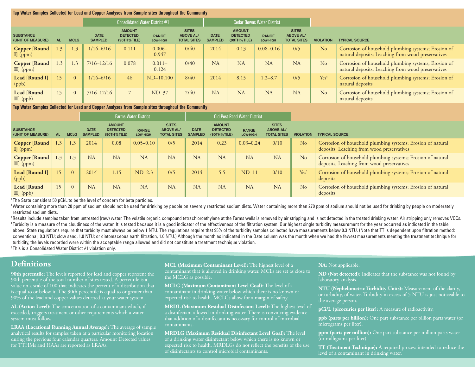#### **Tap Water Samples Collected for Lead and Copper Analyses from Sample sites throughout the Community**

|                                       |           |              |                               | Consolidated Water District #1                     |                          |                                                        |                               |                                                 | <b>Cedar Downs Water District</b> |                                                        |                  |                                                                                                           |
|---------------------------------------|-----------|--------------|-------------------------------|----------------------------------------------------|--------------------------|--------------------------------------------------------|-------------------------------|-------------------------------------------------|-----------------------------------|--------------------------------------------------------|------------------|-----------------------------------------------------------------------------------------------------------|
| <b>SUBSTANCE</b><br>(UNIT OF MEASURE) | <b>AL</b> | <b>MCLG</b>  | <b>DATE</b><br><b>SAMPLED</b> | <b>AMOUNT</b><br><b>DETECTED</b><br>$(90TH%$ TILE) | <b>RANGE</b><br>LOW-HIGH | <b>SITES</b><br><b>ABOVE AL/</b><br><b>TOTAL SITES</b> | <b>DATE</b><br><b>SAMPLED</b> | <b>AMOUNT</b><br><b>DETECTED</b><br>(90TH%TILE) | <b>RANGE</b><br><b>LOW-HIGH</b>   | <b>SITES</b><br><b>ABOVE AL/</b><br><b>TOTAL SITES</b> | <b>VIOLATION</b> | <b>TYPICAL SOURCE</b>                                                                                     |
| <b>Copper [Round</b><br>$I($ (ppm)    |           | 1.3          | $1/16 - 6/16$                 | 0.111                                              | $0.006-$<br>0.947        | 0/40                                                   | 2014                          | 0.13                                            | $0.08 - 0.16$                     | 0/5                                                    | No               | Corrosion of household plumbing systems; Erosion of<br>natural deposits; Leaching from wood preservatives |
| <b>Copper [Round</b><br>$II$ (ppm)    |           | 1.3          | $7/16 - 12/16$                | 0.078                                              | $0.011-$<br>0.124        | 0/40                                                   | <b>NA</b>                     | NA                                              | NA                                | <b>NA</b>                                              | No               | Corrosion of household plumbing systems; Erosion of<br>natural deposits; Leaching from wood preservatives |
| Lead [Round I]<br>(ppb)               |           | $\Omega$     | $1/16 - 6/16$                 | 46                                                 | $ND-10,100$              | 8/40                                                   | 2014                          | 8.15                                            | $1.2 - 8.7$                       | 0/5                                                    | Yes <sup>5</sup> | Corrosion of household plumbing systems; Erosion of<br>natural deposits                                   |
| Lead [Round<br>$IIJ$ (ppb)            | 15        | $\mathbf{0}$ | $7/16 - 12/16$                | $\overline{ }$                                     | $ND-37$                  | 2/40                                                   | <b>NA</b>                     | <b>NA</b>                                       | <b>NA</b>                         | <b>NA</b>                                              | No               | Corrosion of household plumbing systems; Erosion of<br>natural deposits                                   |

**Tap Water Samples Collected for Lead and Copper Analyses from Sample sites throughout the Community**

|                                       |      |             |                               |                                                 | <b>Farms Water District</b> |                                                        |                               |                                                 | <b>Old Post Road Water District</b> |                                                        |                  |                                                                                                           |
|---------------------------------------|------|-------------|-------------------------------|-------------------------------------------------|-----------------------------|--------------------------------------------------------|-------------------------------|-------------------------------------------------|-------------------------------------|--------------------------------------------------------|------------------|-----------------------------------------------------------------------------------------------------------|
| <b>SUBSTANCE</b><br>(UNIT OF MEASURE) | AL   | <b>MCLG</b> | <b>DATE</b><br><b>SAMPLED</b> | <b>AMOUNT</b><br><b>DETECTED</b><br>(90TH%TILE) | <b>RANGE</b><br>LOW-HIGH    | <b>SITES</b><br><b>ABOVE AL/</b><br><b>TOTAL SITES</b> | <b>DATE</b><br><b>SAMPLED</b> | <b>AMOUNT</b><br><b>DETECTED</b><br>(90TH%TILE) | <b>RANGE</b><br>LOW-HIGH            | <b>SITES</b><br><b>ABOVE AL/</b><br><b>TOTAL SITES</b> | <b>VIOLATION</b> | <b>TYPICAL SOURCE</b>                                                                                     |
| <b>Copper [Round</b><br>I(ppm)        | 1.37 | 1.3         | 2014                          | 0.08                                            | $0.05 - 0.10$               | 0/5                                                    | 2014                          | 0.23                                            | $0.03 - 0.24$                       | 0/10                                                   | No               | Corrosion of household plumbing systems; Erosion of natural<br>deposits; Leaching from wood preservatives |
| <b>Copper [Round</b><br>$II$ (ppm)    |      | 1.3         | <b>NA</b>                     | <b>NA</b>                                       | <b>NA</b>                   | <b>NA</b>                                              | NA                            | <b>NA</b>                                       | <b>NA</b>                           | <b>NA</b>                                              | N <sub>o</sub>   | Corrosion of household plumbing systems; Erosion of natural<br>deposits; Leaching from wood preservatives |
| Lead [Round I]<br>(ppb)               | 15   | $\Omega$    | 2014                          | 1.15                                            | $ND-2.3$                    | 0/5                                                    | 2014                          | 5.5                                             | $ND-11$                             | 0/10                                                   | Yes <sup>5</sup> | Corrosion of household plumbing systems; Erosion of natural<br>deposits                                   |
| Lead [Round<br>$IIJ$ (ppb)            | 15   | $\Omega$    | <b>NA</b>                     | <b>NA</b>                                       | <b>NA</b>                   | <b>NA</b>                                              | NA                            | <b>NA</b>                                       | <b>NA</b>                           | <b>NA</b>                                              | No               | Corrosion of household plumbing systems; Erosion of natural<br>deposits                                   |

<sup>1</sup>The State considers 50 pCi/L to be the level of concern for beta particles.

<sup>2</sup>Water containing more than 20 ppm of sodium should not be used for drinking by people on severely restricted sodium diets. Water containing more than 270 ppm of sodium should not be used for drinking by people on modera restricted sodium diets.

<sup>3</sup> Results include samples taken from untreated (raw) water. The volatile organic compound tetrachloroethylene at the Farms wells is removed by air stripping and is not detected in the treated drinking water. Air strippin <sup>4</sup>Turbidity is a measure of the cloudiness of the water. It is tested because it is a good indicator of the effectiveness of the filtration system. Our highest single turbidity measurement for the year occurred as indicat above. State requlations require that turbidity must always be below 1 NTU. The requlations require that 95% of the turbidity samples collected have measurements below 0.3 NTU. (Note that TT is dependent upon filtration me conventional, 0.3 NTU; slow sand, 1.0 NTU; or diatomaceous earth filtration, 1.0 NTU.) Although the month as indicated in the Date column was the month when we had the fewest measurements meeting the treatment technique fo turbidity, the levels recorded were within the acceptable range allowed and did not constitute a treatment technique violation.

5 This is a Consolidated Water District #1 violation only.

# **Definitions**

**90th percentile:** The levels reported for lead and copper represent the 90th percentile of the total number of sites tested. A percentile is a value on a scale of 100 that indicates the percent of a distribution that is equal to or below it. The 90th percentile is equal to or greater than 90% of the lead and copper values detected at your water system.

**AL (Action Level):** The concentration of a contaminant which, if exceeded, triggers treatment or other requirements which a water system must follow.

**LRAA (Locational Running Annual Average):** The average of sample analytical results for samples taken at a particular monitoring location during the previous four calendar quarters. Amount Detected values for TTHMs and HAAs are reported as LRAAs.

**MCL (Maximum Contaminant Level):** The highest level of a contaminant that is allowed in drinking water. MCLs are set as close to the MCLG as possible.

**MCLG (Maximum Contaminant Level Goal):** The level of a contaminant in drinking water below which there is no known or expected risk to health. MCLGs allow for a margin of safety.

**MRDL (Maximum Residual Disinfectant Level):** The highest level of a disinfectant allowed in drinking water. There is convincing evidence that addition of a disinfectant is necessary for control of microbial contaminants.

**MRDLG (Maximum Residual Disinfectant Level Goal):** The level of a drinking water disinfectant below which there is no known or expected risk to health. MRDLGs do not reflect the benefits of the use of disinfectants to control microbial contaminants.

#### **NA:** Not applicable.

**ND (Not detected):** Indicates that the substance was not found by laboratory analysis.

**NTU (Nephelometric Turbidity Units):** Measurement of the clarity, or turbidity, of water. Turbidity in excess of 5 NTU is just noticeable to the average person.

**pCi/L (picocuries per liter):** A measure of radioactivity.

**ppb (parts per billion):** One part substance per billion parts water (or micrograms per liter).

**ppm (parts per million):** One part substance per million parts water (or milligrams per liter).

**TT (Treatment Technique):** A required process intended to reduce the level of a contaminant in drinking water.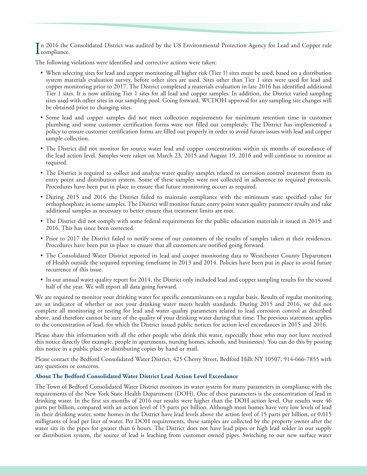In 2016 the compliance. n 2016 the Consolidated District was audited by the US Environmental Protection Agency for Lead and Copper rule

The following violations were identified and corrective actions were taken:

- When selecting sites for lead and copper monitoring all higher risk (Tier 1) sites must be used, based on a distribution system materials evaluation survey, before other sites are used. Sites other than Tier 1 sites were used for lead and copper monitoring prior to 2017. The District completed a materials evaluation in late 2016 has identified additional Tier 1 sites. It is now utilizing Tier 1 sites for all lead and copper samples. In addition, the District varied sampling sites used with other sites in our sampling pool. Going forward, WCDOH approval for any sampling site changes will be obtained prior to changing sites.
- Some lead and copper samples did not meet collection requirements for minimum retention time in customer plumbing and some customer certification forms were not filled out completely. The District has implemented a policy to ensure customer certification forms are filled out properly in order to avoid future issues with lead and copper sample collection.
- The District did not monitor for source water lead and copper concentrations within six months of exceedance of the lead action level. Samples were taken on March 23, 2015 and August 19, 2016 and will continue to monitor as required.
- The District is required to collect and analyze water quality samples related to corrosion control treatment from its entry point and distribution system. Some of these samples were not collected in adherence to required protocols. Procedures have been put in place to ensure that future monitoring occurs as required.
- During 2015 and 2016 the District failed to maintain compliance with the minimum state specified value for orthophosphate in some samples. The District will monitor future entry point water quality parameter results and take additional samples as necessary to better ensure that treatment limits are met.
- The District did not comply with some federal requirements for the public education materials it issued in 2015 and 2016. This has since been corrected.
- Prior to 2017 the District failed to notify some of our customers of the results of samples taken at their residences. Procedures have been put in place to ensure that all customers are notified going forward.
- The Consolidated Water District reported its lead and cooper monitoring data to Westchester County Department of Health outside the required reporting timeframe in 2013 and 2014. Policies have been put in place to avoid future recurrence of this issue.
- In our annual water quality report for 2014, the District only included lead and copper sampling results for the second half of the year. We will report all data going forward.

We are required to monitor your drinking water for specific contaminants on a regular basis. Results of regular monitoring are an indicator of whether or not your drinking water meets health standards. During 2015 and 2016, we did not complete all monitoring or testing for lead and water quality parameters related to lead corrosion control as described above, and therefore cannot be sure of the quality of your drinking water during that time. The previous statement applies to the concentration of lead, for which the District issued public notices for action level exceedances in 2015 and 2016.

Please share this information with all the other people who drink this water, especially those who may not have received this notice directly (for example, people in apartments, nursing homes, schools, and businesses). You can do this by posting this notice in a public place or distributing copies by hand or mail.

Please contact the Bedford Consolidated Water District, 425 Cherry Street, Bedford Hills NY 10507, 914-666-7855 with any questions or concerns.

#### **About The Bedford Consolidated Water District Lead Action Level Exceedance**

The Town of Bedford Consolidated Water District monitors its water system for many parameters in compliance with the requirements of the New York State Health Department (DOH). One of these parameters is the concentration of lead in drinking water. In the first six months of 2016 our results were higher than the DOH action level. Our results were 46 parts per billion, compared with an action level of 15 parts per billion. Although most homes have very low levels of lead in their drinking water, some homes in the District have lead levels above the action level of 15 parts per billion, or 0.015 milligrams of lead per liter of water. Per DOH requirements, these samples are collected by the property owner after the water sits in the pipes for greater than 6 hours. The District does not have lead pipes or high lead solder in our supply or distribution system, the source of lead is leaching from customer owned pipes. Switching to our new surface water